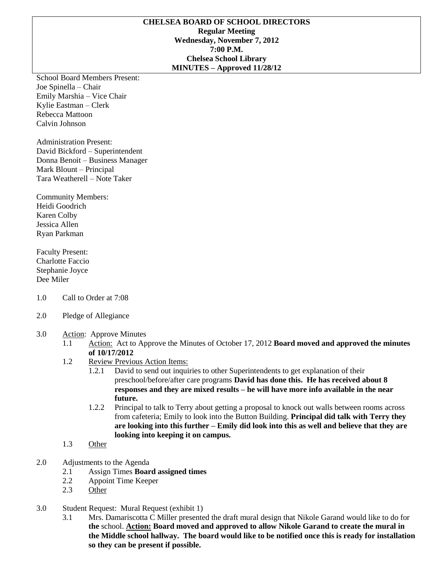#### **CHELSEA BOARD OF SCHOOL DIRECTORS Regular Meeting Wednesday, November 7, 2012 7:00 P.M. Chelsea School Library MINUTES – Approved 11/28/12**

School Board Members Present: Joe Spinella – Chair Emily Marshia – Vice Chair Kylie Eastman – Clerk Rebecca Mattoon Calvin Johnson

Administration Present: David Bickford – Superintendent Donna Benoit – Business Manager Mark Blount – Principal Tara Weatherell – Note Taker

Community Members: Heidi Goodrich Karen Colby Jessica Allen Ryan Parkman

Faculty Present: Charlotte Faccio Stephanie Joyce Dee Miler

- 1.0 Call to Order at 7:08
- 2.0 Pledge of Allegiance
- 3.0 Action: Approve Minutes
	- 1.1 Action: Act to Approve the Minutes of October 17, 2012 **Board moved and approved the minutes of 10/17/2012**
	- 1.2 Review Previous Action Items:
		- 1.2.1 David to send out inquiries to other Superintendents to get explanation of their preschool/before/after care programs **David has done this. He has received about 8 responses and they are mixed results – he will have more info available in the near future.**
		- 1.2.2 Principal to talk to Terry about getting a proposal to knock out walls between rooms across from cafeteria; Emily to look into the Button Building. **Principal did talk with Terry they are looking into this further – Emily did look into this as well and believe that they are looking into keeping it on campus.**
	- 1.3 Other
- 2.0 Adjustments to the Agenda
	- 2.1 Assign Times **Board assigned times**
	- 2.2 Appoint Time Keeper
	- 2.3 Other
- 3.0 Student Request: Mural Request (exhibit 1)
	- 3.1 Mrs. Damariscotta C Miller presented the draft mural design that Nikole Garand would like to do for **the** school. **Action: Board moved and approved to allow Nikole Garand to create the mural in the Middle school hallway. The board would like to be notified once this is ready for installation so they can be present if possible.**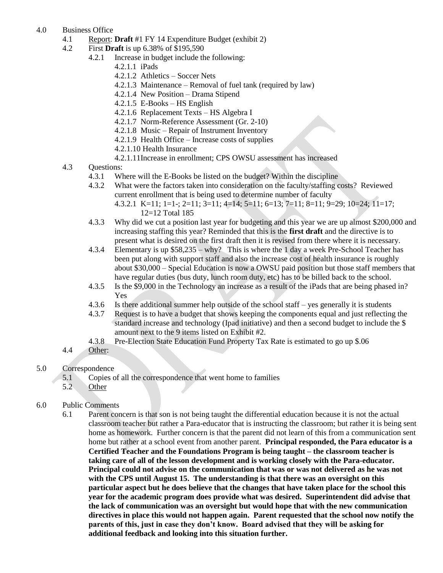- 4.0 Business Office
	- 4.1 Report: **Draft** #1 FY 14 Expenditure Budget (exhibit 2)
	- 4.2 First **Draft** is up 6.38% of \$195,590
		- 4.2.1 Increase in budget include the following:
			- 4.2.1.1 iPads
			- 4.2.1.2 Athletics Soccer Nets
			- 4.2.1.3 Maintenance Removal of fuel tank (required by law)
			- 4.2.1.4 New Position Drama Stipend
			- 4.2.1.5 E-Books HS English
			- 4.2.1.6 Replacement Texts HS Algebra I
			- 4.2.1.7 Norm-Reference Assessment (Gr. 2-10)
			- 4.2.1.8 Music Repair of Instrument Inventory
			- 4.2.1.9 Health Office Increase costs of supplies
			- 4.2.1.10 Health Insurance
			- 4.2.1.11Increase in enrollment; CPS OWSU assessment has increased
	- 4.3 Questions:
		- 4.3.1 Where will the E-Books be listed on the budget? Within the discipline
		- 4.3.2 What were the factors taken into consideration on the faculty/staffing costs? Reviewed current enrollment that is being used to determine number of faculty
			- 4.3.2.1 K=11; 1=1-; 2=11; 3=11; 4=14; 5=11; 6=13; 7=11; 8=11; 9=29; 10=24; 11=17; 12=12 Total 185
		- 4.3.3 Why did we cut a position last year for budgeting and this year we are up almost \$200,000 and increasing staffing this year? Reminded that this is the **first draft** and the directive is to present what is desired on the first draft then it is revised from there where it is necessary.
		- 4.3.4 Elementary is up \$58,235 why? This is where the 1 day a week Pre-School Teacher has been put along with support staff and also the increase cost of health insurance is roughly about \$30,000 – Special Education is now a OWSU paid position but those staff members that have regular duties (bus duty, lunch room duty, etc) has to be billed back to the school.
		- 4.3.5 Is the \$9,000 in the Technology an increase as a result of the iPads that are being phased in? Yes
		- 4.3.6 Is there additional summer help outside of the school staff yes generally it is students
		- 4.3.7 Request is to have a budget that shows keeping the components equal and just reflecting the standard increase and technology (Ipad initiative) and then a second budget to include the \$ amount next to the 9 items listed on Exhibit #2.
		- 4.3.8 Pre-Election State Education Fund Property Tax Rate is estimated to go up \$.06
	- 4.4 Other:
- 5.0 Correspondence
	- 5.1 Copies of all the correspondence that went home to families
	- 5.2 Other
- 6.0 Public Comments
	- 6.1 Parent concern is that son is not being taught the differential education because it is not the actual classroom teacher but rather a Para-educator that is instructing the classroom; but rather it is being sent home as homework. Further concern is that the parent did not learn of this from a communication sent home but rather at a school event from another parent. **Principal responded, the Para educator is a Certified Teacher and the Foundations Program is being taught – the classroom teacher is taking care of all of the lesson development and is working closely with the Para-educator. Principal could not advise on the communication that was or was not delivered as he was not with the CPS until August 15. The understanding is that there was an oversight on this particular aspect but he does believe that the changes that have taken place for the school this year for the academic program does provide what was desired. Superintendent did advise that the lack of communication was an oversight but would hope that with the new communication directives in place this would not happen again. Parent requested that the school now notify the parents of this, just in case they don't know. Board advised that they will be asking for additional feedback and looking into this situation further.**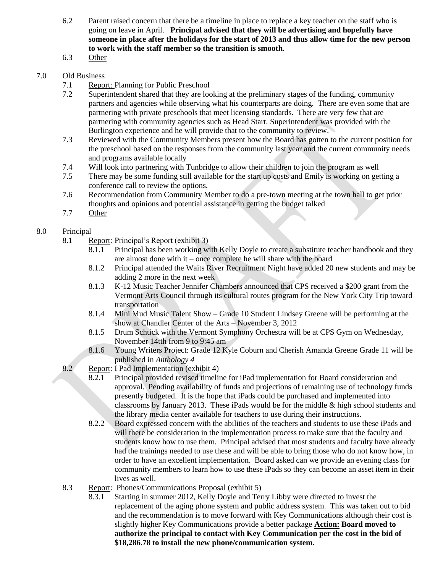- 6.2 Parent raised concern that there be a timeline in place to replace a key teacher on the staff who is going on leave in April. **Principal advised that they will be advertising and hopefully have someone in place after the holidays for the start of 2013 and thus allow time for the new person to work with the staff member so the transition is smooth.**
- 6.3 Other

## 7.0 Old Business

- 7.1 Report: Planning for Public Preschool
- 7.2 Superintendent shared that they are looking at the preliminary stages of the funding, community partners and agencies while observing what his counterparts are doing. There are even some that are partnering with private preschools that meet licensing standards. There are very few that are partnering with community agencies such as Head Start. Superintendent was provided with the Burlington experience and he will provide that to the community to review.
- 7.3 Reviewed with the Community Members present how the Board has gotten to the current position for the preschool based on the responses from the community last year and the current community needs and programs available locally
- 7.4 Will look into partnering with Tunbridge to allow their children to join the program as well
- 7.5 There may be some funding still available for the start up costs and Emily is working on getting a conference call to review the options.
- 7.6 Recommendation from Community Member to do a pre-town meeting at the town hall to get prior thoughts and opinions and potential assistance in getting the budget talked
- 7.7 Other

# 8.0 Principal

- 8.1 Report: Principal's Report (exhibit 3)
	- 8.1.1 Principal has been working with Kelly Doyle to create a substitute teacher handbook and they are almost done with it – once complete he will share with the board
	- 8.1.2 Principal attended the Waits River Recruitment Night have added 20 new students and may be adding 2 more in the next week
	- 8.1.3 K-12 Music Teacher Jennifer Chambers announced that CPS received a \$200 grant from the Vermont Arts Council through its cultural routes program for the New York City Trip toward transportation
	- 8.1.4 Mini Mud Music Talent Show Grade 10 Student Lindsey Greene will be performing at the show at Chandler Center of the Arts – November 3, 2012
	- 8.1.5 Drum Schtick with the Vermont Symphony Orchestra will be at CPS Gym on Wednesday, November 14tth from 9 to 9:45 am
	- 8.1.6 Young Writers Project: Grade 12 Kyle Coburn and Cherish Amanda Greene Grade 11 will be published in *Anthology 4*
- 8.2 Report: I Pad Implementation (exhibit 4)
	- 8.2.1 Principal provided revised timeline for iPad implementation for Board consideration and approval. Pending availability of funds and projections of remaining use of technology funds presently budgeted. It is the hope that iPads could be purchased and implemented into classrooms by January 2013. These iPads would be for the middle & high school students and the library media center available for teachers to use during their instructions.
	- 8.2.2 Board expressed concern with the abilities of the teachers and students to use these iPads and will there be consideration in the implementation process to make sure that the faculty and students know how to use them. Principal advised that most students and faculty have already had the trainings needed to use these and will be able to bring those who do not know how, in order to have an excellent implementation. Board asked can we provide an evening class for community members to learn how to use these iPads so they can become an asset item in their lives as well.
- 8.3 Report: Phones/Communications Proposal (exhibit 5)
	- 8.3.1 Starting in summer 2012, Kelly Doyle and Terry Libby were directed to invest the replacement of the aging phone system and public address system. This was taken out to bid and the recommendation is to move forward with Key Communications although their cost is slightly higher Key Communications provide a better package **Action: Board moved to authorize the principal to contact with Key Communication per the cost in the bid of \$18,286.78 to install the new phone/communication system.**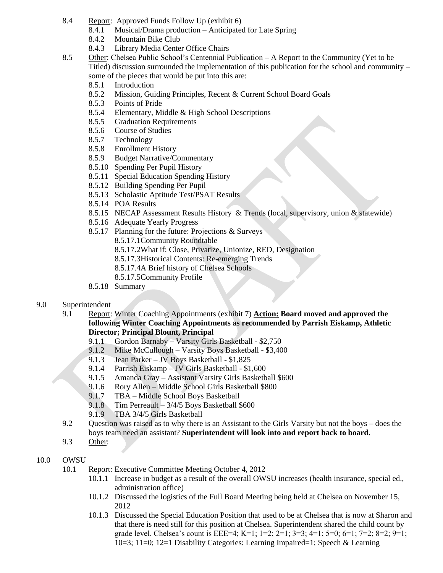- 8.4 Report: Approved Funds Follow Up (exhibit 6)
	- 8.4.1 Musical/Drama production Anticipated for Late Spring
	- 8.4.2 Mountain Bike Club
	- 8.4.3 Library Media Center Office Chairs
- 8.5 Other: Chelsea Public School's Centennial Publication A Report to the Community (Yet to be Titled) discussion surrounded the implementation of this publication for the school and community – some of the pieces that would be put into this are:
	- 8.5.1 Introduction
	- 8.5.2 Mission, Guiding Principles, Recent & Current School Board Goals
	- 8.5.3 Points of Pride
	- 8.5.4 Elementary, Middle & High School Descriptions
	- 8.5.5 Graduation Requirements
	- 8.5.6 Course of Studies
	- 8.5.7 Technology
	- 8.5.8 Enrollment History
	- 8.5.9 Budget Narrative/Commentary
	- 8.5.10 Spending Per Pupil History
	- 8.5.11 Special Education Spending History
	- 8.5.12 Building Spending Per Pupil
	- 8.5.13 Scholastic Aptitude Test/PSAT Results
	- 8.5.14 POA Results
	- 8.5.15 NECAP Assessment Results History & Trends (local, supervisory, union & statewide)
	- 8.5.16 Adequate Yearly Progress
	- 8.5.17 Planning for the future: Projections & Surveys
		- 8.5.17.1Community Roundtable
		- 8.5.17.2What if: Close, Privatize, Unionize, RED, Designation
		- 8.5.17.3Historical Contents: Re-emerging Trends
		- 8.5.17.4A Brief history of Chelsea Schools
		- 8.5.17.5Community Profile
	- 8.5.18 Summary

#### 9.0 Superintendent

- 9.1 Report: Winter Coaching Appointments (exhibit 7) **Action: Board moved and approved the following Winter Coaching Appointments as recommended by Parrish Eiskamp, Athletic Director; Principal Blount, Principal**
	- 9.1.1 Gordon Barnaby Varsity Girls Basketball \$2,750
	- 9.1.2 Mike McCullough Varsity Boys Basketball \$3,400
	- 9.1.3 Jean Parker JV Boys Basketball \$1,825
	- 9.1.4 Parrish Eiskamp JV Girls Basketball \$1,600
	- 9.1.5 Amanda Gray Assistant Varsity Girls Basketball \$600
	- 9.1.6 Rory Allen Middle School Girls Basketball \$800
	- 9.1.7 TBA Middle School Boys Basketball
	- 9.1.8 Tim Perreault 3/4/5 Boys Basketball \$600
	- 9.1.9 TBA 3/4/5 Girls Basketball
- 9.2 Question was raised as to why there is an Assistant to the Girls Varsity but not the boys does the boys team need an assistant? **Superintendent will look into and report back to board.**
- 9.3 Other:

### 10.0 OWSU

- 10.1 Report: Executive Committee Meeting October 4, 2012
	- 10.1.1 Increase in budget as a result of the overall OWSU increases (health insurance, special ed., administration office)
	- 10.1.2 Discussed the logistics of the Full Board Meeting being held at Chelsea on November 15, 2012
	- 10.1.3 Discussed the Special Education Position that used to be at Chelsea that is now at Sharon and that there is need still for this position at Chelsea. Superintendent shared the child count by grade level. Chelsea's count is EEE=4; K=1; 1=2; 2=1; 3=3; 4=1; 5=0; 6=1; 7=2; 8=2; 9=1; 10=3; 11=0; 12=1 Disability Categories: Learning Impaired=1; Speech & Learning